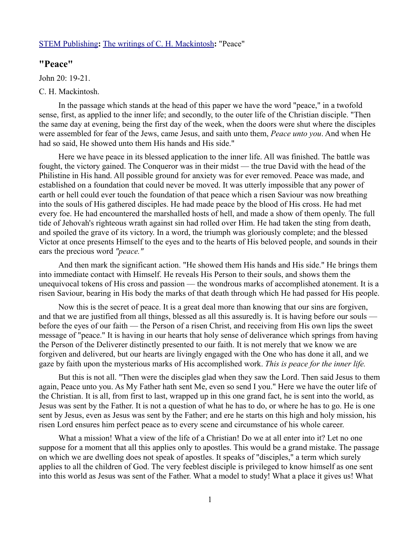## [STEM Publishing](http://www.stempublishing.com/)**:** [The writings of C. H. Mackintosh](http://www.stempublishing.com/authors/mackintosh/index.html)**:** "Peace"

## **"Peace"**

John 20: 19-21.

## C. H. Mackintosh.

In the passage which stands at the head of this paper we have the word "peace," in a twofold sense, first, as applied to the inner life; and secondly, to the outer life of the Christian disciple. "Then the same day at evening, being the first day of the week, when the doors were shut where the disciples were assembled for fear of the Jews, came Jesus, and saith unto them, *Peace unto you*. And when He had so said, He showed unto them His hands and His side."

Here we have peace in its blessed application to the inner life. All was finished. The battle was fought, the victory gained. The Conqueror was in their midst — the true David with the head of the Philistine in His hand. All possible ground for anxiety was for ever removed. Peace was made, and established on a foundation that could never be moved. It was utterly impossible that any power of earth or hell could ever touch the foundation of that peace which a risen Saviour was now breathing into the souls of His gathered disciples. He had made peace by the blood of His cross. He had met every foe. He had encountered the marshalled hosts of hell, and made a show of them openly. The full tide of Jehovah's righteous wrath against sin had rolled over Him. He had taken the sting from death, and spoiled the grave of its victory. In a word, the triumph was gloriously complete; and the blessed Victor at once presents Himself to the eyes and to the hearts of His beloved people, and sounds in their ears the precious word *"peace."*

And then mark the significant action. "He showed them His hands and His side." He brings them into immediate contact with Himself. He reveals His Person to their souls, and shows them the unequivocal tokens of His cross and passion — the wondrous marks of accomplished atonement. It is a risen Saviour, bearing in His body the marks of that death through which He had passed for His people.

Now this is the secret of peace. It is a great deal more than knowing that our sins are forgiven, and that we are justified from all things, blessed as all this assuredly is. It is having before our souls before the eyes of our faith — the Person of a risen Christ, and receiving from His own lips the sweet message of "peace." It is having in our hearts that holy sense of deliverance which springs from having the Person of the Deliverer distinctly presented to our faith. It is not merely that we know we are forgiven and delivered, but our hearts are livingly engaged with the One who has done it all, and we gaze by faith upon the mysterious marks of His accomplished work. *This is peace for the inner life.* 

But this is not all. "Then were the disciples glad when they saw the Lord. Then said Jesus to them again, Peace unto you. As My Father hath sent Me, even so send I you." Here we have the outer life of the Christian. It is all, from first to last, wrapped up in this one grand fact, he is sent into the world, as Jesus was sent by the Father. It is not a question of what he has to do, or where he has to go. He is one sent by Jesus, even as Jesus was sent by the Father; and ere he starts on this high and holy mission, his risen Lord ensures him perfect peace as to every scene and circumstance of his whole career.

What a mission! What a view of the life of a Christian! Do we at all enter into it? Let no one suppose for a moment that all this applies only to apostles. This would be a grand mistake. The passage on which we are dwelling does not speak of apostles. It speaks of "disciples," a term which surely applies to all the children of God. The very feeblest disciple is privileged to know himself as one sent into this world as Jesus was sent of the Father. What a model to study! What a place it gives us! What